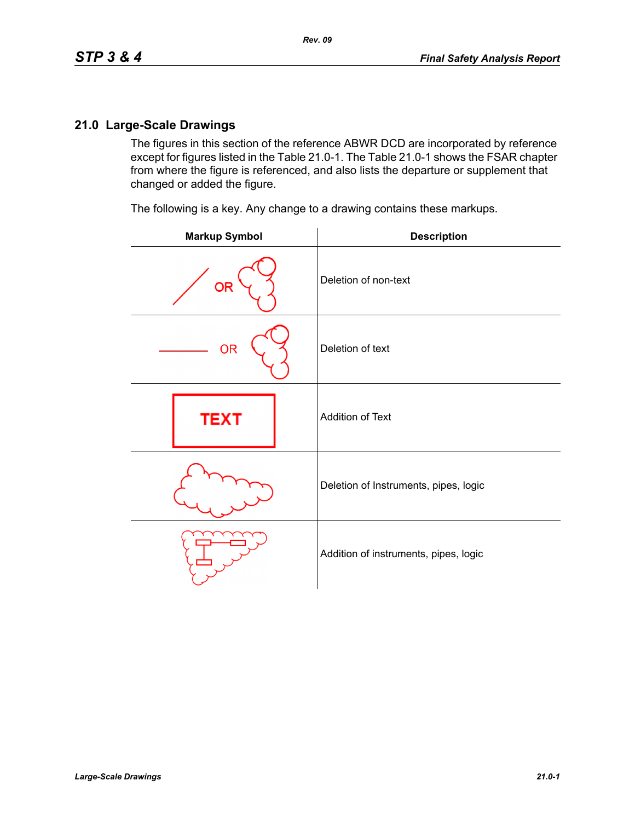## **21.0 Large-Scale Drawings**

The figures in this section of the reference ABWR DCD are incorporated by reference except for figures listed in the Table 21.0-1. The Table 21.0-1 shows the FSAR chapter from where the figure is referenced, and also lists the departure or supplement that changed or added the figure.

The following is a key. Any change to a drawing contains these markups.

| <b>Markup Symbol</b> | <b>Description</b>                    |
|----------------------|---------------------------------------|
| <b>OR</b>            | Deletion of non-text                  |
| <b>OR</b>            | Deletion of text                      |
| <b>TEXT</b>          | Addition of Text                      |
|                      | Deletion of Instruments, pipes, logic |
|                      | Addition of instruments, pipes, logic |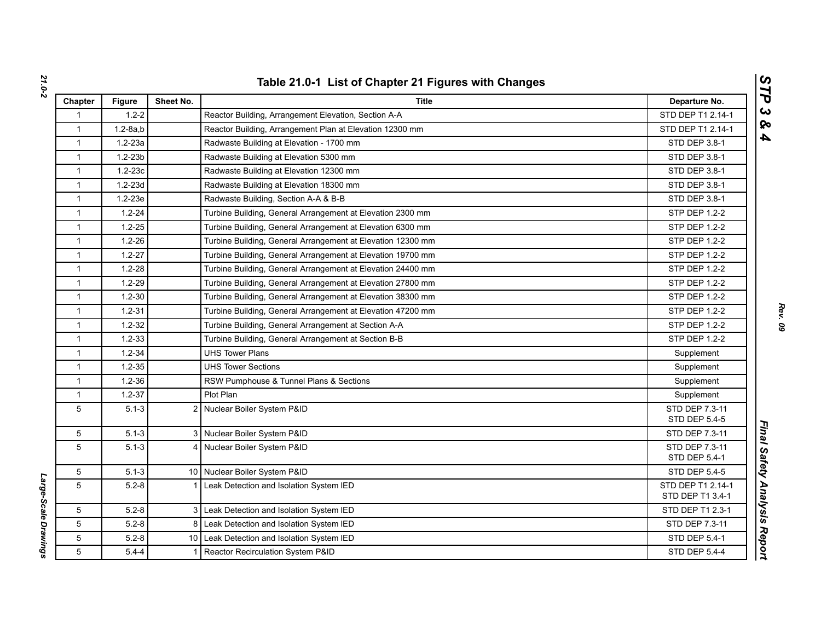| Chapter      | <b>Figure</b> | Sheet No. | <b>Title</b>                                                | Departure No.                         |
|--------------|---------------|-----------|-------------------------------------------------------------|---------------------------------------|
| $\mathbf 1$  | $1.2 - 2$     |           | Reactor Building, Arrangement Elevation, Section A-A        | STD DEP T1 2.14-1                     |
| 1            | $1.2 - 8a, b$ |           | Reactor Building, Arrangement Plan at Elevation 12300 mm    | STD DEP T1 2.14-1                     |
| $\mathbf{1}$ | $1.2 - 23a$   |           | Radwaste Building at Elevation - 1700 mm                    | STD DEP 3.8-1                         |
| $\mathbf{1}$ | $1.2 - 23b$   |           | Radwaste Building at Elevation 5300 mm                      | STD DEP 3.8-1                         |
| $\mathbf{1}$ | $1.2 - 23c$   |           | Radwaste Building at Elevation 12300 mm                     | STD DEP 3.8-1                         |
| $\mathbf{1}$ | $1.2 - 23d$   |           | Radwaste Building at Elevation 18300 mm                     | STD DEP 3.8-1                         |
| $\mathbf{1}$ | $1.2 - 23e$   |           | Radwaste Building, Section A-A & B-B                        | STD DEP 3.8-1                         |
| $\mathbf{1}$ | $1.2 - 24$    |           | Turbine Building, General Arrangement at Elevation 2300 mm  | <b>STP DEP 1.2-2</b>                  |
| $\mathbf{1}$ | $1.2 - 25$    |           | Turbine Building, General Arrangement at Elevation 6300 mm  | <b>STP DEP 1.2-2</b>                  |
| $\mathbf{1}$ | $1.2 - 26$    |           | Turbine Building, General Arrangement at Elevation 12300 mm | <b>STP DEP 1.2-2</b>                  |
| $\mathbf{1}$ | $1.2 - 27$    |           | Turbine Building, General Arrangement at Elevation 19700 mm | <b>STP DEP 1.2-2</b>                  |
| $\mathbf{1}$ | $1.2 - 28$    |           | Turbine Building, General Arrangement at Elevation 24400 mm | STP DEP 1.2-2                         |
| $\mathbf{1}$ | $1.2 - 29$    |           | Turbine Building, General Arrangement at Elevation 27800 mm | <b>STP DEP 1.2-2</b>                  |
| 1            | $1.2 - 30$    |           | Turbine Building, General Arrangement at Elevation 38300 mm | <b>STP DEP 1.2-2</b>                  |
| $\mathbf{1}$ | $1.2 - 31$    |           | Turbine Building, General Arrangement at Elevation 47200 mm | <b>STP DEP 1.2-2</b>                  |
| $\mathbf{1}$ | $1.2 - 32$    |           | Turbine Building, General Arrangement at Section A-A        | STP DEP 1.2-2                         |
| $\mathbf{1}$ | $1.2 - 33$    |           | Turbine Building, General Arrangement at Section B-B        | <b>STP DEP 1.2-2</b>                  |
| $\mathbf{1}$ | $1.2 - 34$    |           | <b>UHS Tower Plans</b>                                      | Supplement                            |
| $\mathbf{1}$ | $1.2 - 35$    |           | <b>UHS Tower Sections</b>                                   | Supplement                            |
| $\mathbf{1}$ | $1.2 - 36$    |           | RSW Pumphouse & Tunnel Plans & Sections                     | Supplement                            |
| $\mathbf{1}$ | $1.2 - 37$    |           | Plot Plan                                                   | Supplement                            |
| 5            | $5.1 - 3$     |           | 2 Nuclear Boiler System P&ID                                | STD DEP 7.3-11<br>STD DEP 5.4-5       |
| 5            | $5.1 - 3$     |           | 3 Nuclear Boiler System P&ID                                | STD DEP 7.3-11                        |
| 5            | $5.1 - 3$     |           | 4 Nuclear Boiler System P&ID                                | STD DEP 7.3-11<br>STD DEP 5.4-1       |
| 5            | $5.1 - 3$     |           | 10 Nuclear Boiler System P&ID                               | <b>STD DEP 5.4-5</b>                  |
| 5            | $5.2 - 8$     |           | 1 Leak Detection and Isolation System IED                   | STD DEP T1 2.14-1<br>STD DEP T1 3.4-1 |
| 5            | $5.2 - 8$     |           | 3 Leak Detection and Isolation System IED                   | STD DEP T1 2.3-1                      |
| 5            | $5.2 - 8$     |           | 8   Leak Detection and Isolation System IED                 | STD DEP 7.3-11                        |
| 5            | $5.2 - 8$     |           | 10 Leak Detection and Isolation System IED                  | STD DEP 5.4-1                         |
| 5            | $5.4 - 4$     |           | 1 Reactor Recirculation System P&ID                         | <b>STD DEP 5.4-4</b>                  |

*Large-Scale Drawings* 

Large-Scale Drawings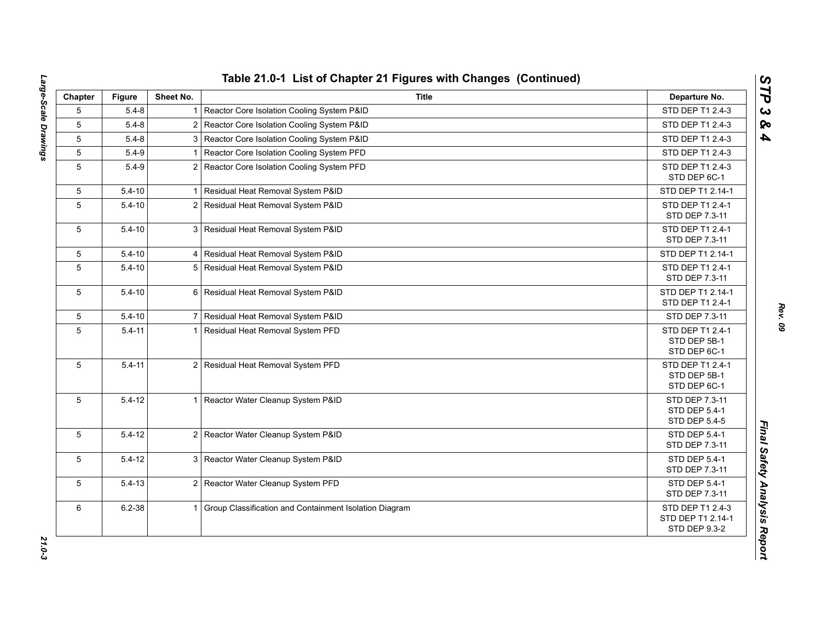| Chapter         | <b>Figure</b> | Sheet No.      | <b>Title</b>                                             | Departure No.                                                 |
|-----------------|---------------|----------------|----------------------------------------------------------|---------------------------------------------------------------|
| 5               | $5.4 - 8$     | 1 <sup>1</sup> | Reactor Core Isolation Cooling System P&ID               | STD DEP T1 2.4-3                                              |
| 5               | $5.4 - 8$     |                | 2 Reactor Core Isolation Cooling System P&ID             | STD DEP T1 2.4-3                                              |
| 5               | $5.4 - 8$     |                | 3 Reactor Core Isolation Cooling System P&ID             | STD DEP T1 2.4-3                                              |
| $5\phantom{.0}$ | $5.4 - 9$     |                | Reactor Core Isolation Cooling System PFD                | STD DEP T1 2.4-3                                              |
| 5               | $5.4 - 9$     |                | 2 Reactor Core Isolation Cooling System PFD              | STD DEP T1 2.4-3<br>STD DEP 6C-1                              |
| 5               | $5.4 - 10$    |                | Residual Heat Removal System P&ID                        | STD DEP T1 2.14-1                                             |
| 5               | $5.4 - 10$    | 2 <sub>1</sub> | Residual Heat Removal System P&ID                        | STD DEP T1 2.4-1<br>STD DEP 7.3-11                            |
| 5               | $5.4 - 10$    |                | 3 Residual Heat Removal System P&ID                      | STD DEP T1 2.4-1<br>STD DEP 7.3-11                            |
| 5               | $5.4 - 10$    |                | 4 Residual Heat Removal System P&ID                      | STD DEP T1 2.14-1                                             |
| 5               | $5.4 - 10$    |                | 5 Residual Heat Removal System P&ID                      | STD DEP T1 2.4-1<br>STD DEP 7.3-11                            |
| 5               | $5.4 - 10$    |                | 6 Residual Heat Removal System P&ID                      | STD DEP T1 2.14-1<br>STD DEP T1 2.4-1                         |
| 5               | $5.4 - 10$    |                | 7 Residual Heat Removal System P&ID                      | STD DEP 7.3-11                                                |
| 5               | $5.4 - 11$    | 11             | Residual Heat Removal System PFD                         | STD DEP T1 2.4-1<br>STD DEP 5B-1<br>STD DEP 6C-1              |
| 5               | $5.4 - 11$    |                | 2 Residual Heat Removal System PFD                       | STD DEP T1 2.4-1<br>STD DEP 5B-1<br>STD DEP 6C-1              |
| 5               | $5.4 - 12$    | 11             | Reactor Water Cleanup System P&ID                        | STD DEP 7.3-11<br>STD DEP 5.4-1<br>STD DEP 5.4-5              |
| 5               | $5.4 - 12$    |                | 2 Reactor Water Cleanup System P&ID                      | <b>STD DEP 5.4-1</b><br>STD DEP 7.3-11                        |
| 5               | $5.4 - 12$    |                | 3 Reactor Water Cleanup System P&ID                      | STD DEP 5.4-1<br>STD DEP 7.3-11                               |
| 5               | $5.4 - 13$    |                | 2 Reactor Water Cleanup System PFD                       | STD DEP 5.4-1<br>STD DEP 7.3-11                               |
| 6               | $6.2 - 38$    |                | 1 Group Classification and Containment Isolation Diagram | STD DEP T1 2.4-3<br>STD DEP T1 2.14-1<br><b>STD DEP 9.3-2</b> |

*Rev. 09*

*STP 3 & 4*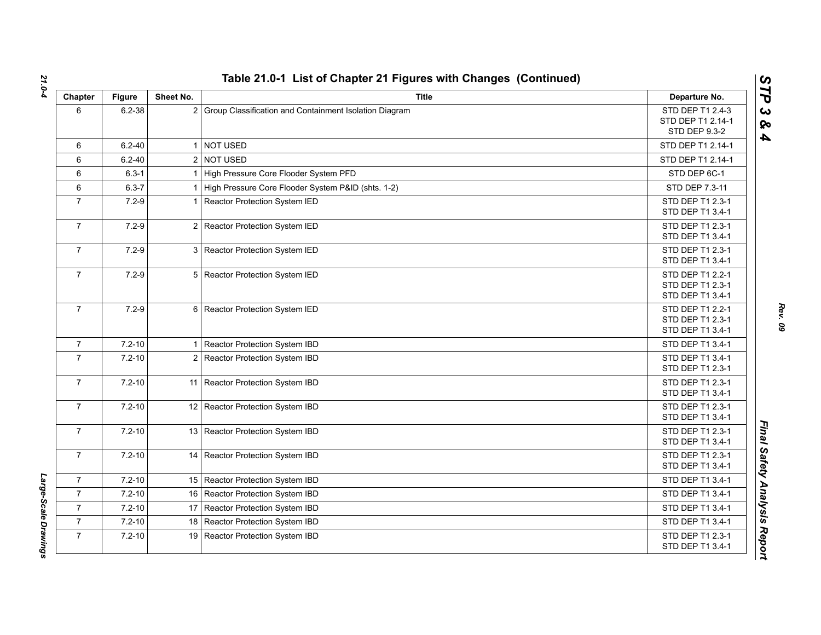| Chapter        | <b>Figure</b> | Sheet No. | <b>Title</b>                                             | Departure No.                                                 |
|----------------|---------------|-----------|----------------------------------------------------------|---------------------------------------------------------------|
| 6              | $6.2 - 38$    |           | 2 Group Classification and Containment Isolation Diagram | STD DEP T1 2.4-3<br>STD DEP T1 2.14-1<br><b>STD DEP 9.3-2</b> |
| 6              | $6.2 - 40$    |           | 1 NOT USED                                               | STD DEP T1 2.14-1                                             |
| 6              | $6.2 - 40$    |           | 2 NOT USED                                               | STD DEP T1 2.14-1                                             |
| 6              | $6.3 - 1$     |           | 1 High Pressure Core Flooder System PFD                  | STD DEP 6C-1                                                  |
| 6              | $6.3 - 7$     |           | 1 High Pressure Core Flooder System P&ID (shts. 1-2)     | STD DEP 7.3-11                                                |
| $\overline{7}$ | $7.2 - 9$     |           | 1 Reactor Protection System IED                          | STD DEP T1 2.3-1<br>STD DEP T1 3.4-1                          |
| $\overline{7}$ | $7.2 - 9$     |           | 2 Reactor Protection System IED                          | STD DEP T1 2.3-1<br>STD DEP T1 3.4-1                          |
| $\overline{7}$ | $7.2 - 9$     |           | 3 Reactor Protection System IED                          | STD DEP T1 2.3-1<br>STD DEP T1 3.4-1                          |
| $\overline{7}$ | $7.2 - 9$     |           | 5 Reactor Protection System IED                          | STD DEP T1 2.2-1<br>STD DEP T1 2.3-1<br>STD DEP T1 3.4-1      |
| $\overline{7}$ | $7.2 - 9$     |           | 6 Reactor Protection System IED                          | STD DEP T1 2.2-1<br>STD DEP T1 2.3-1<br>STD DEP T1 3.4-1      |
| $\overline{7}$ | $7.2 - 10$    |           | 1 Reactor Protection System IBD                          | STD DEP T1 3.4-1                                              |
| $\overline{7}$ | $7.2 - 10$    |           | 2 Reactor Protection System IBD                          | STD DEP T1 3.4-1<br>STD DEP T1 2.3-1                          |
| $\overline{7}$ | $7.2 - 10$    |           | 11 Reactor Protection System IBD                         | STD DEP T1 2.3-1<br>STD DEP T1 3.4-1                          |
| $\overline{7}$ | $7.2 - 10$    |           | 12 Reactor Protection System IBD                         | STD DEP T1 2.3-1<br>STD DEP T1 3.4-1                          |
| $\overline{7}$ | $7.2 - 10$    |           | 13 Reactor Protection System IBD                         | STD DEP T1 2.3-1<br>STD DEP T1 3.4-1                          |
| $\overline{7}$ | $7.2 - 10$    |           | 14 Reactor Protection System IBD                         | STD DEP T1 2.3-1<br>STD DEP T1 3.4-1                          |
| $\mathbf{7}$   | $7.2 - 10$    |           | 15 Reactor Protection System IBD                         | STD DEP T1 3.4-1                                              |
| $\overline{7}$ | $7.2 - 10$    |           | 16 Reactor Protection System IBD                         | STD DEP T1 3.4-1                                              |
| $\overline{7}$ | $7.2 - 10$    |           | 17 Reactor Protection System IBD                         | STD DEP T1 3.4-1                                              |
| $\overline{7}$ | $7.2 - 10$    |           | 18 Reactor Protection System IBD                         | STD DEP T1 3.4-1                                              |
| $\overline{7}$ | $7.2 - 10$    |           | 19 Reactor Protection System IBD                         | STD DEP T1 2.3-1<br>STD DEP T1 3.4-1                          |

Large-Scale Drawings *Large-Scale Drawings* 

*Rev. 09*

*STP 3 & 4*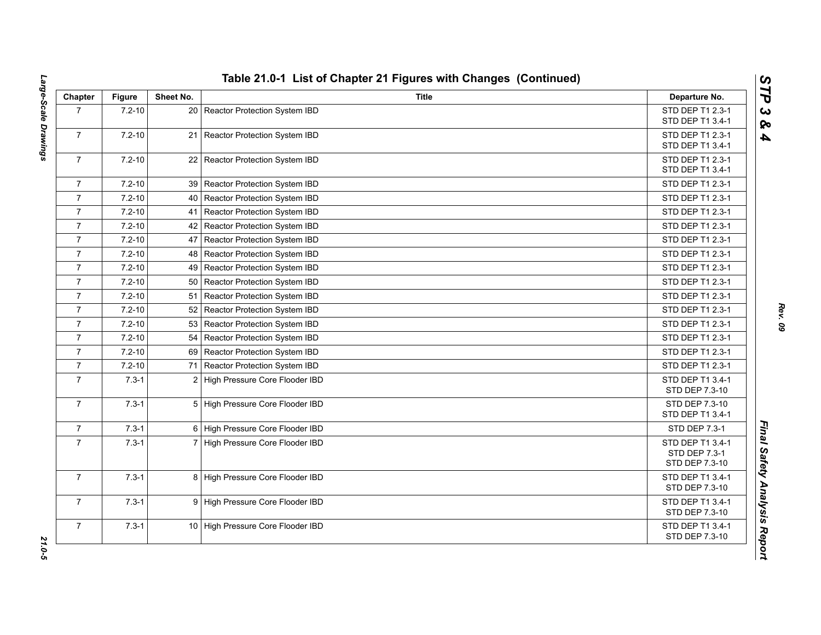| Chapter        | <b>Figure</b> | Sheet No. | <b>Title</b>                       | Departure No.                                       |
|----------------|---------------|-----------|------------------------------------|-----------------------------------------------------|
| $\overline{7}$ | $7.2 - 10$    |           | 20 Reactor Protection System IBD   | STD DEP T1 2.3-1<br>STD DEP T1 3.4-1                |
| $\overline{7}$ | $7.2 - 10$    |           | 21 Reactor Protection System IBD   | STD DEP T1 2.3-1<br>STD DEP T1 3.4-1                |
| $\overline{7}$ | $7.2 - 10$    |           | 22 Reactor Protection System IBD   | STD DEP T1 2.3-1<br>STD DEP T1 3.4-1                |
| $\overline{7}$ | $7.2 - 10$    |           | 39   Reactor Protection System IBD | STD DEP T1 2.3-1                                    |
| $\overline{7}$ | $7.2 - 10$    |           | 40   Reactor Protection System IBD | STD DEP T1 2.3-1                                    |
| $\overline{7}$ | $7.2 - 10$    |           | 41 Reactor Protection System IBD   | STD DEP T1 2.3-1                                    |
| $\overline{7}$ | $7.2 - 10$    |           | 42   Reactor Protection System IBD | STD DEP T1 2.3-1                                    |
| $\overline{7}$ | $7.2 - 10$    |           | 47   Reactor Protection System IBD | STD DEP T1 2.3-1                                    |
| $\overline{7}$ | $7.2 - 10$    |           | 48   Reactor Protection System IBD | STD DEP T1 2.3-1                                    |
| $\overline{7}$ | $7.2 - 10$    |           | 49   Reactor Protection System IBD | STD DEP T1 2.3-1                                    |
| $\overline{7}$ | $7.2 - 10$    |           | 50 Reactor Protection System IBD   | STD DEP T1 2.3-1                                    |
| $\overline{7}$ | $7.2 - 10$    |           | 51 Reactor Protection System IBD   | STD DEP T1 2.3-1                                    |
| $\overline{7}$ | $7.2 - 10$    |           | 52 Reactor Protection System IBD   | STD DEP T1 2.3-1                                    |
| $\overline{7}$ | $7.2 - 10$    |           | 53 Reactor Protection System IBD   | STD DEP T1 2.3-1                                    |
| $\overline{7}$ | $7.2 - 10$    |           | 54 Reactor Protection System IBD   | STD DEP T1 2.3-1                                    |
| $\overline{7}$ | $7.2 - 10$    |           | 69 Reactor Protection System IBD   | STD DEP T1 2.3-1                                    |
| $\overline{7}$ | $7.2 - 10$    |           | 71 Reactor Protection System IBD   | STD DEP T1 2.3-1                                    |
| $\overline{7}$ | $7.3 - 1$     |           | 2 High Pressure Core Flooder IBD   | STD DEP T1 3.4-1<br>STD DEP 7.3-10                  |
| $\overline{7}$ | $7.3 - 1$     |           | 5 High Pressure Core Flooder IBD   | STD DEP 7.3-10<br>STD DEP T1 3.4-1                  |
| $\overline{7}$ | $7.3 - 1$     |           | 6 High Pressure Core Flooder IBD   | <b>STD DEP 7.3-1</b>                                |
| $\overline{7}$ | $7.3 - 1$     |           | 7 High Pressure Core Flooder IBD   | STD DEP T1 3.4-1<br>STD DEP 7.3-1<br>STD DEP 7.3-10 |
| $\overline{7}$ | $7.3 - 1$     |           | 8 High Pressure Core Flooder IBD   | STD DEP T1 3.4-1<br>STD DEP 7.3-10                  |
| $\overline{7}$ | $7.3 - 1$     |           | 9 High Pressure Core Flooder IBD   | STD DEP T1 3.4-1<br>STD DEP 7.3-10                  |
| $\overline{7}$ | $7.3 - 1$     |           | 10 High Pressure Core Flooder IBD  | STD DEP T1 3.4-1<br>STD DEP 7.3-10                  |

*Rev. 09*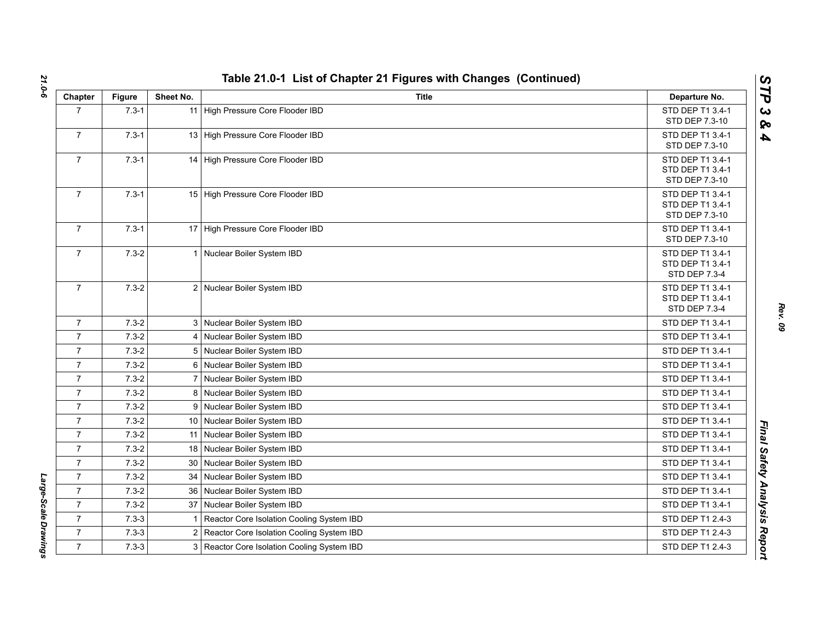| Chapter        | <b>Figure</b> | Sheet No.       | <b>Title</b>                                | Departure No.                                                |
|----------------|---------------|-----------------|---------------------------------------------|--------------------------------------------------------------|
| $\overline{7}$ | $7.3 - 1$     |                 | 11 High Pressure Core Flooder IBD           | STD DEP T1 3.4-1<br>STD DEP 7.3-10                           |
| $\overline{7}$ | $7.3 - 1$     |                 | 13 High Pressure Core Flooder IBD           | STD DEP T1 3.4-1<br>STD DEP 7.3-10                           |
| $\overline{7}$ | $7.3 - 1$     |                 | 14 High Pressure Core Flooder IBD           | STD DEP T1 3.4-1<br>STD DEP T1 3.4-1<br>STD DEP 7.3-10       |
| $\overline{7}$ | $7.3 - 1$     |                 | 15 High Pressure Core Flooder IBD           | STD DEP T1 3.4-1<br>STD DEP T1 3.4-1<br>STD DEP 7.3-10       |
| $\overline{7}$ | $7.3 - 1$     |                 | 17 High Pressure Core Flooder IBD           | STD DEP T1 3.4-1<br>STD DEP 7.3-10                           |
| $\overline{7}$ | $7.3 - 2$     |                 | 1 Nuclear Boiler System IBD                 | STD DEP T1 3.4-1<br>STD DEP T1 3.4-1<br><b>STD DEP 7.3-4</b> |
| $\overline{7}$ | $7.3 - 2$     |                 | 2 Nuclear Boiler System IBD                 | STD DEP T1 3.4-1<br>STD DEP T1 3.4-1<br>STD DEP 7.3-4        |
| $\overline{7}$ | $7.3 - 2$     |                 | 3 Nuclear Boiler System IBD                 | STD DEP T1 3.4-1                                             |
| $\overline{7}$ | $7.3 - 2$     |                 | 4 Nuclear Boiler System IBD                 | STD DEP T1 3.4-1                                             |
| $\overline{7}$ | $7.3 - 2$     |                 | 5 Nuclear Boiler System IBD                 | STD DEP T1 3.4-1                                             |
| $\overline{7}$ | $7.3 - 2$     |                 | 6 Nuclear Boiler System IBD                 | STD DEP T1 3.4-1                                             |
| $\overline{7}$ | $7.3 - 2$     |                 | 7 Nuclear Boiler System IBD                 | STD DEP T1 3.4-1                                             |
| $\overline{7}$ | $7.3 - 2$     |                 | 8 Nuclear Boiler System IBD                 | STD DEP T1 3.4-1                                             |
| $\overline{7}$ | $7.3 - 2$     | 9               | Nuclear Boiler System IBD                   | STD DEP T1 3.4-1                                             |
| $\overline{7}$ | $7.3 - 2$     |                 | 10 Nuclear Boiler System IBD                | STD DEP T1 3.4-1                                             |
| $\overline{7}$ | $7.3 - 2$     |                 | 11 Nuclear Boiler System IBD                | STD DEP T1 3.4-1                                             |
| $\overline{7}$ | $7.3 - 2$     |                 | 18 Nuclear Boiler System IBD                | STD DEP T1 3.4-1                                             |
| $\overline{7}$ | $7.3 - 2$     | 30 <sup>°</sup> | Nuclear Boiler System IBD                   | STD DEP T1 3.4-1                                             |
| $\overline{7}$ | $7.3 - 2$     | 34              | Nuclear Boiler System IBD                   | STD DEP T1 3.4-1                                             |
| $\overline{7}$ | $7.3 - 2$     | 36              | Nuclear Boiler System IBD                   | STD DEP T1 3.4-1                                             |
| $\overline{7}$ | $7.3 - 2$     |                 | 37 Nuclear Boiler System IBD                | STD DEP T1 3.4-1                                             |
| $\overline{7}$ | $7.3 - 3$     | 1               | Reactor Core Isolation Cooling System IBD   | STD DEP T1 2.4-3                                             |
| $\overline{7}$ | $7.3 - 3$     | $\overline{2}$  | Reactor Core Isolation Cooling System IBD   | STD DEP T1 2.4-3                                             |
| $\overline{7}$ | $7.3 - 3$     |                 | 3 Reactor Core Isolation Cooling System IBD | STD DEP T1 2.4-3                                             |

Large-Scale Drawings *Large-Scale Drawings* 

*Rev. 09*

*STP 3 & 4*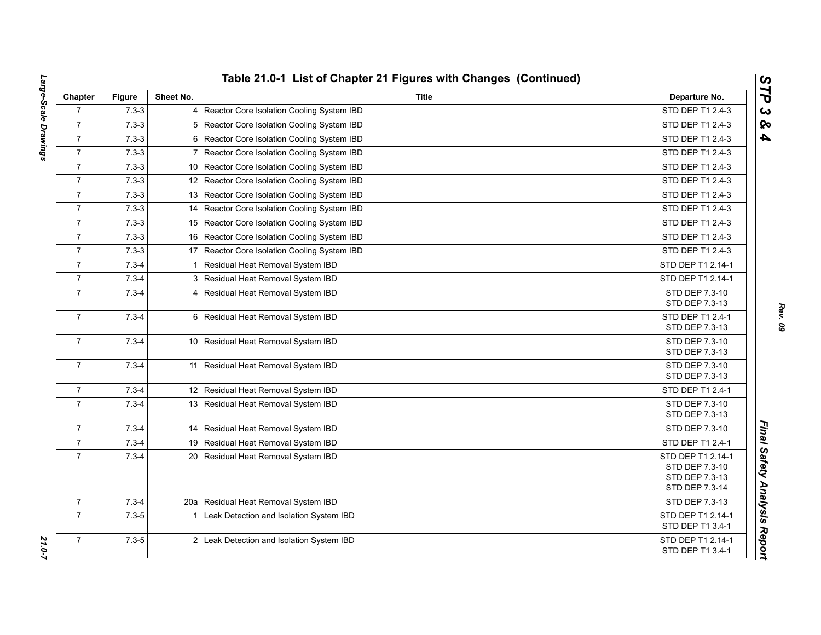| Chapter        | <b>Figure</b> | Sheet No.       | <b>Title</b>                                   | Departure No.                       |
|----------------|---------------|-----------------|------------------------------------------------|-------------------------------------|
| $\overline{7}$ | $7.3 - 3$     |                 | 4 Reactor Core Isolation Cooling System IBD    | STD DEP T1 2.4-3                    |
| $\overline{7}$ | $7.3 - 3$     | 5               | Reactor Core Isolation Cooling System IBD      | STD DEP T1 2.4-3                    |
| $\overline{7}$ | $7.3 - 3$     | 6               | Reactor Core Isolation Cooling System IBD      | STD DEP T1 2.4-3                    |
| $\overline{7}$ | $7.3 - 3$     | $\overline{7}$  | Reactor Core Isolation Cooling System IBD      | STD DEP T1 2.4-3                    |
| $\overline{7}$ | $7.3 - 3$     |                 | 10   Reactor Core Isolation Cooling System IBD | STD DEP T1 2.4-3                    |
| $\overline{7}$ | $7.3 - 3$     |                 | 12 Reactor Core Isolation Cooling System IBD   | STD DEP T1 2.4-3                    |
| $\overline{7}$ | $7.3 - 3$     |                 | 13 Reactor Core Isolation Cooling System IBD   | STD DEP T1 2.4-3                    |
| $\overline{7}$ | $7.3 - 3$     | 14              | Reactor Core Isolation Cooling System IBD      | STD DEP T1 2.4-3                    |
| $\overline{7}$ | $7.3 - 3$     | 15 <sup>1</sup> | Reactor Core Isolation Cooling System IBD      | STD DEP T1 2.4-3                    |
| $\overline{7}$ | $7.3 - 3$     | 16              | Reactor Core Isolation Cooling System IBD      | STD DEP T1 2.4-3                    |
| $\overline{7}$ | $7.3 - 3$     |                 | 17 Reactor Core Isolation Cooling System IBD   | STD DEP T1 2.4-3                    |
| $\overline{7}$ | $7.3 - 4$     | $\mathbf 1$     | Residual Heat Removal System IBD               | STD DEP T1 2.14-1                   |
| $\overline{7}$ | $7.3 - 4$     |                 | 3 Residual Heat Removal System IBD             | STD DEP T1 2.14-1                   |
| $\overline{7}$ | $7.3 - 4$     |                 | 4 Residual Heat Removal System IBD             | STD DEP 7.3-10                      |
|                |               |                 |                                                | STD DEP 7.3-13                      |
| $\overline{7}$ | $7.3 - 4$     |                 | 6 Residual Heat Removal System IBD             | STD DEP T1 2.4-1<br>STD DEP 7.3-13  |
| $\overline{7}$ | $7.3 - 4$     |                 | 10 Residual Heat Removal System IBD            | STD DEP 7.3-10                      |
|                |               |                 |                                                | STD DEP 7.3-13                      |
| $\overline{7}$ | $7.3 - 4$     | 11              | Residual Heat Removal System IBD               | STD DEP 7.3-10                      |
|                |               |                 |                                                | STD DEP 7.3-13                      |
| $\overline{7}$ | $7.3 - 4$     |                 | 12 Residual Heat Removal System IBD            | STD DEP T1 2.4-1                    |
| $\overline{7}$ | $7.3 - 4$     |                 | 13 Residual Heat Removal System IBD            | STD DEP 7.3-10                      |
|                |               |                 |                                                | STD DEP 7.3-13                      |
| $\overline{7}$ | $7.3 - 4$     |                 | 14   Residual Heat Removal System IBD          | STD DEP 7.3-10                      |
| $\overline{7}$ | $7.3 - 4$     |                 | 19 Residual Heat Removal System IBD            | STD DEP T1 2.4-1                    |
| $\overline{7}$ | $7.3 - 4$     |                 | 20 Residual Heat Removal System IBD            | STD DEP T1 2.14-1<br>STD DEP 7.3-10 |
|                |               |                 |                                                | STD DEP 7.3-13                      |
|                |               |                 |                                                | STD DEP 7.3-14                      |
| $\overline{7}$ | $7.3 - 4$     | 20a             | Residual Heat Removal System IBD               | STD DEP 7.3-13                      |
| $\overline{7}$ | $7.3 - 5$     | 1               | Leak Detection and Isolation System IBD        | STD DEP T1 2.14-1                   |
|                |               |                 |                                                | STD DEP T1 3.4-1                    |
| $\overline{7}$ | $7.3 - 5$     |                 | 2 Leak Detection and Isolation System IBD      | STD DEP T1 2.14-1                   |
|                |               |                 |                                                | STD DEP T1 3.4-1                    |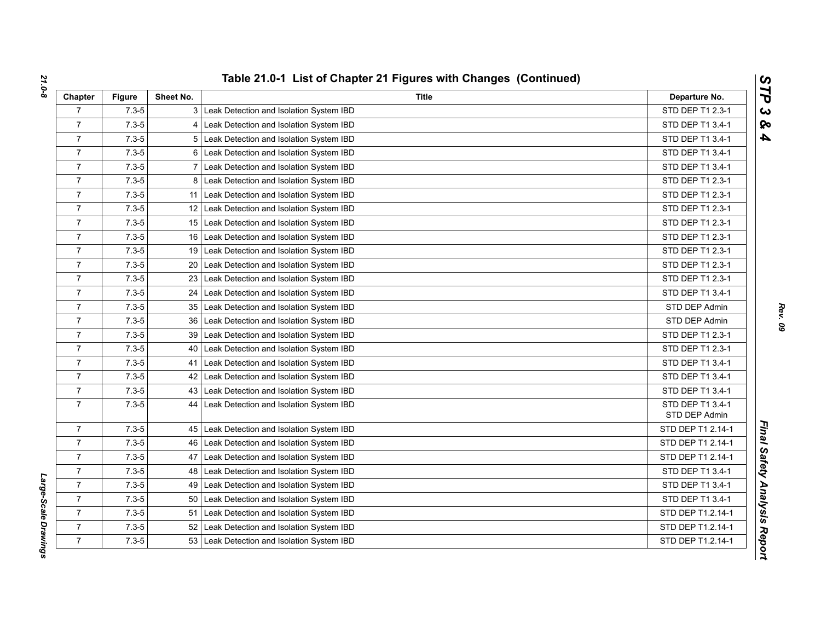| Chapter        | <b>Figure</b> | Sheet No. | <b>Title</b>                              | Departure No.                     |
|----------------|---------------|-----------|-------------------------------------------|-----------------------------------|
| $\overline{7}$ | $7.3 - 5$     |           | 3 Leak Detection and Isolation System IBD | STD DEP T1 2.3-1                  |
| $\overline{7}$ | $7.3 - 5$     |           | Leak Detection and Isolation System IBD   | STD DEP T1 3.4-1                  |
| $\overline{7}$ | $7.3 - 5$     | 5         | Leak Detection and Isolation System IBD   | STD DEP T1 3.4-1                  |
| $\overline{7}$ | $7.3 - 5$     | 6         | Leak Detection and Isolation System IBD   | STD DEP T1 3.4-1                  |
| $\overline{7}$ | $7.3 - 5$     | 7         | Leak Detection and Isolation System IBD   | STD DEP T1 3.4-1                  |
| $\overline{7}$ | $7.3 - 5$     | 8         | Leak Detection and Isolation System IBD   | STD DEP T1 2.3-1                  |
| $\overline{7}$ | $7.3 - 5$     | 11        | Leak Detection and Isolation System IBD   | STD DEP T1 2.3-1                  |
| $\overline{7}$ | $7.3 - 5$     | 12        | Leak Detection and Isolation System IBD   | STD DEP T1 2.3-1                  |
| $\overline{7}$ | $7.3 - 5$     | 15        | Leak Detection and Isolation System IBD   | STD DEP T1 2.3-1                  |
| $\overline{7}$ | $7.3 - 5$     | 16        | Leak Detection and Isolation System IBD   | STD DEP T1 2.3-1                  |
| $\overline{7}$ | $7.3 - 5$     | 19        | Leak Detection and Isolation System IBD   | STD DEP T1 2.3-1                  |
| 7              | $7.3 - 5$     | 20        | Leak Detection and Isolation System IBD   | STD DEP T1 2.3-1                  |
| $\overline{7}$ | $7.3 - 5$     | 23        | Leak Detection and Isolation System IBD   | STD DEP T1 2.3-1                  |
| $\overline{7}$ | $7.3 - 5$     | 24        | Leak Detection and Isolation System IBD   | STD DEP T1 3.4-1                  |
| $\overline{7}$ | $7.3 - 5$     | 35        | Leak Detection and Isolation System IBD   | STD DEP Admin                     |
| $\overline{7}$ | $7.3 - 5$     | 36        | Leak Detection and Isolation System IBD   | STD DEP Admin                     |
| $\overline{7}$ | $7.3 - 5$     | 39        | Leak Detection and Isolation System IBD   | STD DEP T1 2.3-1                  |
| $\overline{7}$ | $7.3 - 5$     | 40        | Leak Detection and Isolation System IBD   | STD DEP T1 2.3-1                  |
| $\overline{7}$ | $7.3 - 5$     | 41        | Leak Detection and Isolation System IBD   | STD DEP T1 3.4-1                  |
| $\overline{7}$ | $7.3 - 5$     | 42        | Leak Detection and Isolation System IBD   | STD DEP T1 3.4-1                  |
| $\overline{7}$ | $7.3 - 5$     | 43        | Leak Detection and Isolation System IBD   | STD DEP T1 3.4-1                  |
| $\overline{7}$ | $7.3 - 5$     | 44        | Leak Detection and Isolation System IBD   | STD DEP T1 3.4-1<br>STD DEP Admin |
| $\overline{7}$ | $7.3 - 5$     | 45        | Leak Detection and Isolation System IBD   | STD DEP T1 2.14-1                 |
| $\overline{7}$ | $7.3 - 5$     | 46        | Leak Detection and Isolation System IBD   | STD DEP T1 2.14-1                 |
| $\overline{7}$ | $7.3 - 5$     | 47        | Leak Detection and Isolation System IBD   | STD DEP T1 2.14-1                 |
| $\overline{7}$ | $7.3 - 5$     | 48        | Leak Detection and Isolation System IBD   | STD DEP T1 3.4-1                  |
| $\overline{7}$ | $7.3 - 5$     | 49        | Leak Detection and Isolation System IBD   | STD DEP T1 3.4-1                  |
| $\overline{7}$ | $7.3 - 5$     | 50        | Leak Detection and Isolation System IBD   | STD DEP T1 3.4-1                  |
| $\overline{7}$ | $7.3 - 5$     | 51        | Leak Detection and Isolation System IBD   | STD DEP T1.2.14-1                 |
| $\overline{7}$ | $7.3 - 5$     | 52        | Leak Detection and Isolation System IBD   | STD DEP T1.2.14-1                 |
| $\overline{7}$ | $7.3 - 5$     | 53        | Leak Detection and Isolation System IBD   | STD DEP T1.2.14-1                 |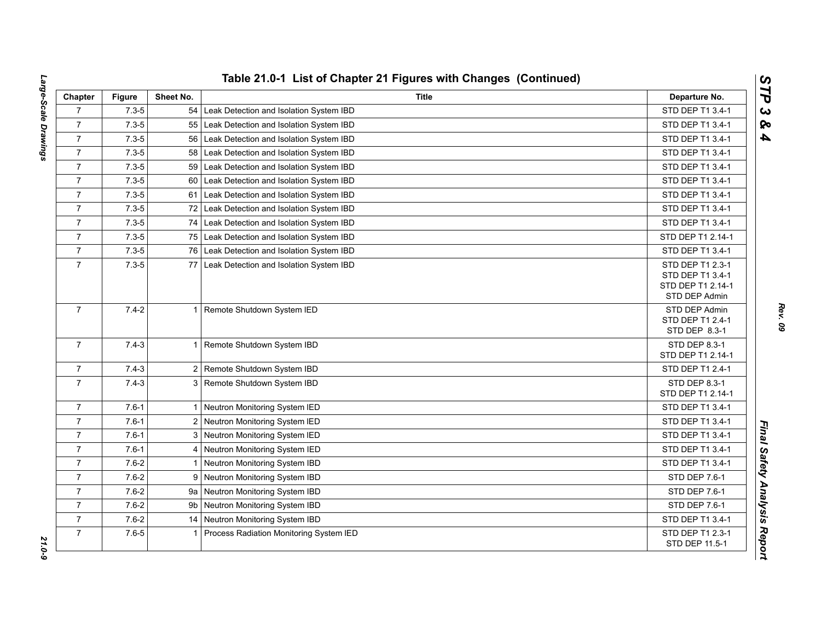| Chapter        | <b>Figure</b> | Sheet No.    | Title                                       | Departure No.                                                              |
|----------------|---------------|--------------|---------------------------------------------|----------------------------------------------------------------------------|
| $\overline{7}$ | $7.3 - 5$     |              | 54 Leak Detection and Isolation System IBD  | STD DEP T1 3.4-1                                                           |
| $\overline{7}$ | $7.3 - 5$     | 55           | Leak Detection and Isolation System IBD     | STD DEP T1 3.4-1                                                           |
| $\overline{7}$ | $7.3 - 5$     | 56           | Leak Detection and Isolation System IBD     | STD DEP T1 3.4-1                                                           |
| $\overline{7}$ | $7.3 - 5$     | 58           | Leak Detection and Isolation System IBD     | STD DEP T1 3.4-1                                                           |
| $\overline{7}$ | $7.3 - 5$     | 59           | Leak Detection and Isolation System IBD     | STD DEP T1 3.4-1                                                           |
| $\overline{7}$ | $7.3 - 5$     | 60           | Leak Detection and Isolation System IBD     | STD DEP T1 3.4-1                                                           |
| $\overline{7}$ | $7.3 - 5$     |              | 61 Leak Detection and Isolation System IBD  | STD DEP T1 3.4-1                                                           |
| $\overline{7}$ | $7.3 - 5$     |              | 72 Leak Detection and Isolation System IBD  | STD DEP T1 3.4-1                                                           |
| $\overline{7}$ | $7.3 - 5$     | 74           | Leak Detection and Isolation System IBD     | STD DEP T1 3.4-1                                                           |
| $\overline{7}$ | $7.3 - 5$     | 75           | Leak Detection and Isolation System IBD     | STD DEP T1 2.14-1                                                          |
| $\overline{7}$ | $7.3 - 5$     |              | 76 Leak Detection and Isolation System IBD  | STD DEP T1 3.4-1                                                           |
| $\overline{7}$ | $7.3 - 5$     | 77           | Leak Detection and Isolation System IBD     | STD DEP T1 2.3-1<br>STD DEP T1 3.4-1<br>STD DEP T1 2.14-1<br>STD DEP Admin |
| $\overline{7}$ | $7.4 - 2$     |              | 1 Remote Shutdown System IED                | STD DEP Admin<br>STD DEP T1 2.4-1<br>STD DEP 8.3-1                         |
| $\overline{7}$ | $7.4 - 3$     |              | 1 Remote Shutdown System IBD                | STD DEP 8.3-1<br>STD DEP T1 2.14-1                                         |
| $\overline{7}$ | $7.4 - 3$     |              | 2 Remote Shutdown System IBD                | STD DEP T1 2.4-1                                                           |
| $\overline{7}$ | $7.4 - 3$     |              | 3 Remote Shutdown System IBD                | STD DEP 8.3-1<br>STD DEP T1 2.14-1                                         |
| $\overline{7}$ | $7.6 - 1$     |              | 1 Neutron Monitoring System IED             | STD DEP T1 3.4-1                                                           |
| $\overline{7}$ | $7.6 - 1$     |              | 2 Neutron Monitoring System IED             | STD DEP T1 3.4-1                                                           |
| $\overline{7}$ | $7.6 - 1$     |              | 3 Neutron Monitoring System IED             | STD DEP T1 3.4-1                                                           |
| $\overline{7}$ | $7.6 - 1$     | 4            | Neutron Monitoring System IED               | STD DEP T1 3.4-1                                                           |
| $\overline{7}$ | $7.6 - 2$     | $\mathbf{1}$ | Neutron Monitoring System IBD               | STD DEP T1 3.4-1                                                           |
| $\overline{7}$ | $7.6 - 2$     | 9            | Neutron Monitoring System IBD               | STD DEP 7.6-1                                                              |
| $\overline{7}$ | $7.6 - 2$     |              | 9a Neutron Monitoring System IBD            | STD DEP 7.6-1                                                              |
| $\overline{7}$ | $7.6 - 2$     | 9b           | Neutron Monitoring System IBD               | STD DEP 7.6-1                                                              |
| $\overline{7}$ | $7.6 - 2$     |              | 14 Neutron Monitoring System IBD            | STD DEP T1 3.4-1                                                           |
| $\overline{7}$ | $7.6 - 5$     |              | 1   Process Radiation Monitoring System IED | STD DEP T1 2.3-1<br>STD DEP 11.5-1                                         |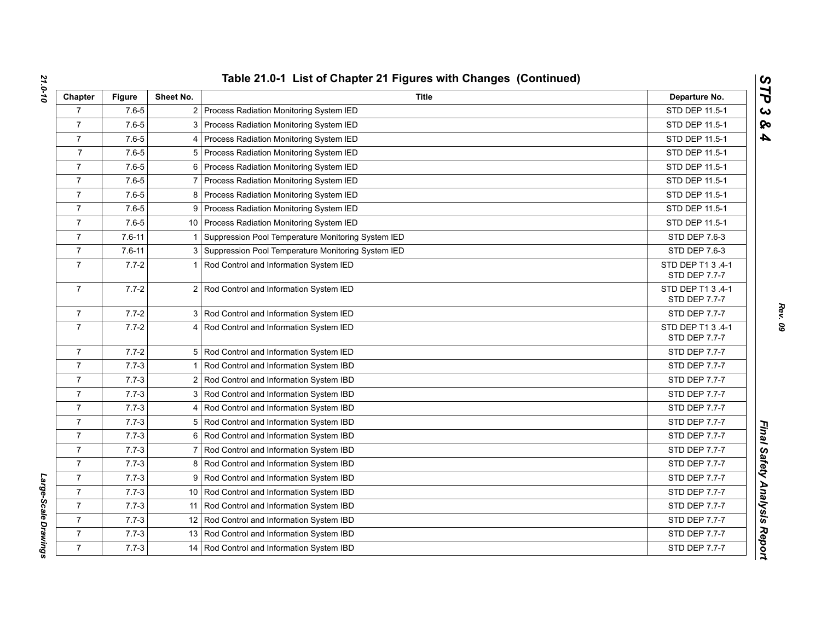| Chapter        | <b>Figure</b> | Sheet No.      | <b>Title</b>                                         | Departure No.                      |
|----------------|---------------|----------------|------------------------------------------------------|------------------------------------|
| $\overline{7}$ | $7.6 - 5$     |                | 2 Process Radiation Monitoring System IED            | STD DEP 11.5-1                     |
| $\overline{7}$ | $7.6 - 5$     |                | 3 Process Radiation Monitoring System IED            | STD DEP 11.5-1                     |
| $\overline{7}$ | $7.6 - 5$     |                | 4 Process Radiation Monitoring System IED            | STD DEP 11.5-1                     |
| $\overline{7}$ | $7.6 - 5$     |                | 5 Process Radiation Monitoring System IED            | STD DEP 11.5-1                     |
| $\overline{7}$ | $7.6 - 5$     |                | 6 Process Radiation Monitoring System IED            | STD DEP 11.5-1                     |
| $\overline{7}$ | $7.6 - 5$     |                | Process Radiation Monitoring System IED              | STD DEP 11.5-1                     |
| $\overline{7}$ | $7.6 - 5$     |                | 8 Process Radiation Monitoring System IED            | STD DEP 11.5-1                     |
| $\overline{7}$ | $7.6 - 5$     |                | 9 Process Radiation Monitoring System IED            | STD DEP 11.5-1                     |
| $\overline{7}$ | $7.6 - 5$     |                | 10 Process Radiation Monitoring System IED           | STD DEP 11.5-1                     |
| $\overline{7}$ | $7.6 - 11$    | -1             | Suppression Pool Temperature Monitoring System IED   | STD DEP 7.6-3                      |
| $\overline{7}$ | $7.6 - 11$    |                | 3 Suppression Pool Temperature Monitoring System IED | STD DEP 7.6-3                      |
| $\overline{7}$ | $7.7 - 2$     |                | Rod Control and Information System IED               | STD DEP T1 3 .4-1<br>STD DEP 7.7-7 |
| $\overline{7}$ | $7.7 - 2$     |                | 2 Rod Control and Information System IED             | STD DEP T1 3 .4-1<br>STD DEP 7.7-7 |
| 7              | $7.7 - 2$     |                | 3 Rod Control and Information System IED             | STD DEP 7.7-7                      |
| $\overline{7}$ | $7.7 - 2$     |                | 4 Rod Control and Information System IED             | STD DEP T1 3 .4-1<br>STD DEP 7.7-7 |
| $\overline{7}$ | $7.7 - 2$     |                | 5 Rod Control and Information System IED             | STD DEP 7.7-7                      |
| $\overline{7}$ | $7.7 - 3$     |                | 1 Rod Control and Information System IBD             | STD DEP 7.7-7                      |
| $\overline{7}$ | $7.7 - 3$     |                | 2 Rod Control and Information System IBD             | STD DEP 7.7-7                      |
| $\overline{7}$ | $7.7 - 3$     |                | 3 Rod Control and Information System IBD             | STD DEP 7.7-7                      |
| $\overline{7}$ | $7.7 - 3$     |                | 4 Rod Control and Information System IBD             | <b>STD DEP 7.7-7</b>               |
| $\overline{7}$ | $7.7 - 3$     |                | 5 Rod Control and Information System IBD             | STD DEP 7.7-7                      |
| $\overline{7}$ | $7.7 - 3$     |                | 6 Rod Control and Information System IBD             | STD DEP 7.7-7                      |
| $\overline{7}$ | $7.7 - 3$     | $\overline{7}$ | Rod Control and Information System IBD               | STD DEP 7.7-7                      |
| $\overline{7}$ | $7.7 - 3$     |                | 8 Rod Control and Information System IBD             | STD DEP 7.7-7                      |
| $\overline{7}$ | $7.7 - 3$     |                | 9 Rod Control and Information System IBD             | STD DEP 7.7-7                      |
| $\overline{7}$ | $7.7 - 3$     |                | 10 Rod Control and Information System IBD            | STD DEP 7.7-7                      |
| $\overline{7}$ | $7.7 - 3$     |                | 11 Rod Control and Information System IBD            | STD DEP 7.7-7                      |
| $\overline{7}$ | $7.7 - 3$     |                | 12 Rod Control and Information System IBD            | <b>STD DEP 7.7-7</b>               |
| $\overline{7}$ | $7.7 - 3$     |                | 13 Rod Control and Information System IBD            | STD DEP 7.7-7                      |
| $\overline{7}$ | $7.7 - 3$     |                | 14 Rod Control and Information System IBD            | <b>STD DEP 7.7-7</b>               |

*Large-Scale Drawings* 

Large-Scale Drawings

*Rev. 09*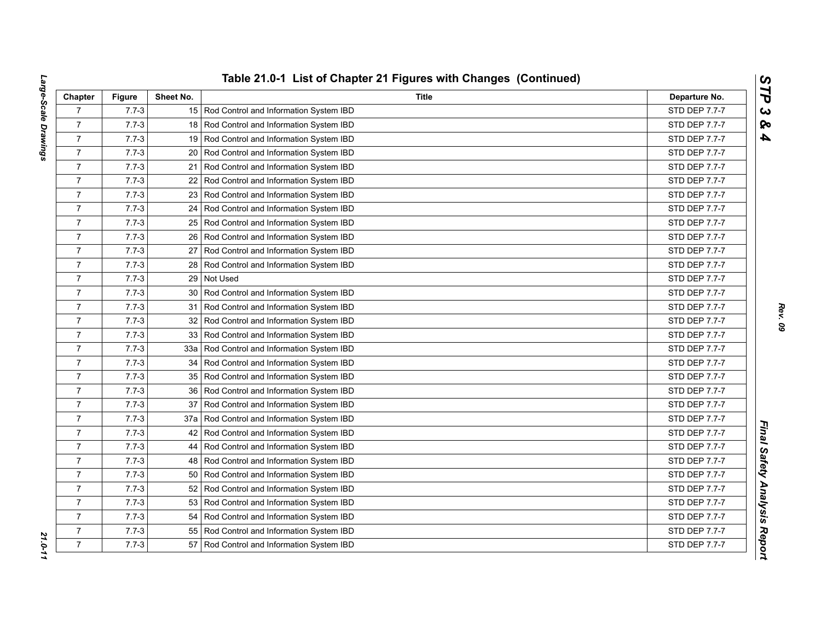| Chapter        | <b>Figure</b> | Sheet No.       | <b>Title</b>                                | Departure No.        |
|----------------|---------------|-----------------|---------------------------------------------|----------------------|
| $\overline{7}$ | $7.7 - 3$     |                 | 15 Rod Control and Information System IBD   | STD DEP 7.7-7        |
| $\overline{7}$ | $7.7 - 3$     |                 | 18 Rod Control and Information System IBD   | STD DEP 7.7-7        |
| $\overline{7}$ | $7.7 - 3$     | 19              | Rod Control and Information System IBD      | STD DEP 7.7-7        |
| $\overline{7}$ | $7.7 - 3$     | 20              | Rod Control and Information System IBD      | STD DEP 7.7-7        |
| $\overline{7}$ | $7.7 - 3$     | 21              | Rod Control and Information System IBD      | <b>STD DEP 7.7-7</b> |
| $\overline{7}$ | $7.7 - 3$     | 22              | Rod Control and Information System IBD      | STD DEP 7.7-7        |
| $\overline{7}$ | $7.7 - 3$     | 23 <sup>1</sup> | Rod Control and Information System IBD      | <b>STD DEP 7.7-7</b> |
| $\overline{7}$ | $7.7 - 3$     |                 | 24   Rod Control and Information System IBD | STD DEP 7.7-7        |
| $\overline{7}$ | $7.7 - 3$     |                 | 25   Rod Control and Information System IBD | STD DEP 7.7-7        |
| $\overline{7}$ | $7.7 - 3$     | 26              | Rod Control and Information System IBD      | STD DEP 7.7-7        |
| $\overline{7}$ | $7.7 - 3$     | 27 <sub>l</sub> | Rod Control and Information System IBD      | STD DEP 7.7-7        |
| $\overline{7}$ | $7.7 - 3$     |                 | 28 Rod Control and Information System IBD   | STD DEP 7.7-7        |
| $\overline{7}$ | $7.7 - 3$     | 29              | Not Used                                    | STD DEP 7.7-7        |
| $\overline{7}$ | $7.7 - 3$     |                 | 30 Rod Control and Information System IBD   | STD DEP 7.7-7        |
| $\overline{7}$ | $7.7 - 3$     | 31              | Rod Control and Information System IBD      | STD DEP 7.7-7        |
| $\overline{7}$ | $7.7 - 3$     | 32              | Rod Control and Information System IBD      | <b>STD DEP 7.7-7</b> |
| $\overline{7}$ | $7.7 - 3$     | 33 <sup>1</sup> | Rod Control and Information System IBD      | STD DEP 7.7-7        |
| $\overline{7}$ | $7.7 - 3$     | 33a             | Rod Control and Information System IBD      | STD DEP 7.7-7        |
| $\overline{7}$ | $7.7 - 3$     | 34              | Rod Control and Information System IBD      | STD DEP 7.7-7        |
| $\overline{7}$ | $7.7 - 3$     |                 | 35   Rod Control and Information System IBD | STD DEP 7.7-7        |
| $\overline{7}$ | $7.7 - 3$     |                 | 36   Rod Control and Information System IBD | STD DEP 7.7-7        |
| $\overline{7}$ | $7.7 - 3$     | 37              | Rod Control and Information System IBD      | STD DEP 7.7-7        |
| $\overline{7}$ | $7.7 - 3$     | 37a             | Rod Control and Information System IBD      | STD DEP 7.7-7        |
| $\overline{7}$ | $7.7 - 3$     | 42              | Rod Control and Information System IBD      | STD DEP 7.7-7        |
| $\overline{7}$ | $7.7 - 3$     | 44              | Rod Control and Information System IBD      | <b>STD DEP 7.7-7</b> |
| $\overline{7}$ | $7.7 - 3$     |                 | 48 Rod Control and Information System IBD   | STD DEP 7.7-7        |
| $\overline{7}$ | $7.7 - 3$     |                 | 50 Rod Control and Information System IBD   | STD DEP 7.7-7        |
| $\overline{7}$ | $7.7 - 3$     | 52              | Rod Control and Information System IBD      | STD DEP 7.7-7        |
| $\overline{7}$ | $7.7 - 3$     | 53              | Rod Control and Information System IBD      | STD DEP 7.7-7        |
| $\overline{7}$ | $7.7 - 3$     | 54              | Rod Control and Information System IBD      | STD DEP 7.7-7        |
| $\overline{7}$ | $7.7 - 3$     | 55              | Rod Control and Information System IBD      | STD DEP 7.7-7        |
| $\overline{7}$ | $7.7 - 3$     | 57              | Rod Control and Information System IBD      | STD DEP 7.7-7        |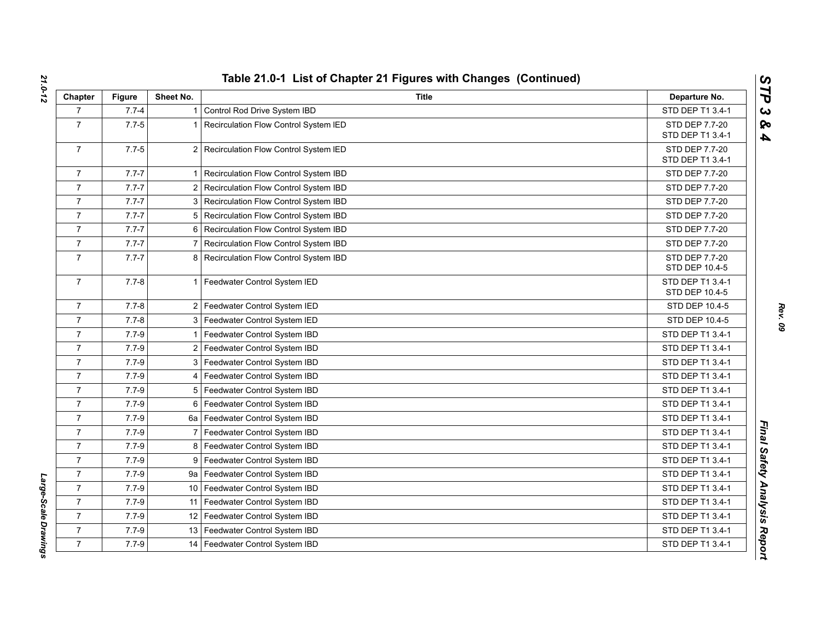| Chapter        | <b>Figure</b> | Sheet No.      | <b>Title</b>                          | Departure No.                      |
|----------------|---------------|----------------|---------------------------------------|------------------------------------|
| $\overline{7}$ | $7.7 - 4$     |                | Control Rod Drive System IBD          | STD DEP T1 3.4-1                   |
| $\overline{7}$ | $7.7 - 5$     |                | Recirculation Flow Control System IED | <b>STD DEP 7.7-20</b>              |
|                |               |                |                                       | STD DEP T1 3.4-1                   |
| $\overline{7}$ | $7.7 - 5$     | $\overline{2}$ | Recirculation Flow Control System IED | STD DEP 7.7-20<br>STD DEP T1 3.4-1 |
| $\overline{7}$ | $7.7 - 7$     |                | Recirculation Flow Control System IBD | STD DEP 7.7-20                     |
| $\overline{7}$ | $7.7 - 7$     | 2              | Recirculation Flow Control System IBD | STD DEP 7.7-20                     |
| $\overline{7}$ | $7.7 - 7$     | 3              | Recirculation Flow Control System IBD | <b>STD DEP 7.7-20</b>              |
| $\overline{7}$ | $7.7 - 7$     | 5              | Recirculation Flow Control System IBD | STD DEP 7.7-20                     |
| $\overline{7}$ | $7.7 - 7$     | 6              | Recirculation Flow Control System IBD | <b>STD DEP 7.7-20</b>              |
| $\overline{7}$ | $7.7 - 7$     |                | Recirculation Flow Control System IBD | STD DEP 7.7-20                     |
| $\overline{7}$ | $7.7 - 7$     | 8              | Recirculation Flow Control System IBD | STD DEP 7.7-20<br>STD DEP 10.4-5   |
| $\overline{7}$ | $7.7 - 8$     | 1              | Feedwater Control System IED          | STD DEP T1 3.4-1<br>STD DEP 10.4-5 |
| $\overline{7}$ | $7.7 - 8$     | $\overline{2}$ | Feedwater Control System IED          | STD DEP 10.4-5                     |
| $\overline{7}$ | $7.7 - 8$     | 3              | Feedwater Control System IED          | STD DEP 10.4-5                     |
| $\overline{7}$ | $7.7 - 9$     |                | Feedwater Control System IBD          | STD DEP T1 3.4-1                   |
| $\overline{7}$ | $7.7 - 9$     | 2              | Feedwater Control System IBD          | STD DEP T1 3.4-1                   |
| $\overline{7}$ | $7.7 - 9$     | 3              | Feedwater Control System IBD          | STD DEP T1 3.4-1                   |
| $\overline{7}$ | $7.7 - 9$     |                | Feedwater Control System IBD          | STD DEP T1 3.4-1                   |
| $\overline{7}$ | $7.7 - 9$     | 5              | Feedwater Control System IBD          | STD DEP T1 3.4-1                   |
| $\overline{7}$ | $7.7 - 9$     | 6              | Feedwater Control System IBD          | STD DEP T1 3.4-1                   |
| $\overline{7}$ | $7.7 - 9$     | 6a             | Feedwater Control System IBD          | STD DEP T1 3.4-1                   |
| $\overline{7}$ | $7.7 - 9$     |                | Feedwater Control System IBD          | STD DEP T1 3.4-1                   |
| $\overline{7}$ | $7.7 - 9$     | 8              | Feedwater Control System IBD          | STD DEP T1 3.4-1                   |
| $\overline{7}$ | $7.7 - 9$     | 9              | Feedwater Control System IBD          | STD DEP T1 3.4-1                   |
| $\overline{7}$ | $7.7 - 9$     |                | 9a   Feedwater Control System IBD     | STD DEP T1 3.4-1                   |
| $\overline{7}$ | $7.7 - 9$     | 10             | Feedwater Control System IBD          | STD DEP T1 3.4-1                   |
| $\overline{7}$ | $7.7 - 9$     | 11             | Feedwater Control System IBD          | STD DEP T1 3.4-1                   |
| $\overline{7}$ | $7.7 - 9$     | 12             | Feedwater Control System IBD          | STD DEP T1 3.4-1                   |
| $\overline{7}$ | $7.7 - 9$     | 13             | Feedwater Control System IBD          | STD DEP T1 3.4-1                   |
| $\overline{7}$ | $7.7 - 9$     | 14             | Feedwater Control System IBD          | STD DEP T1 3.4-1                   |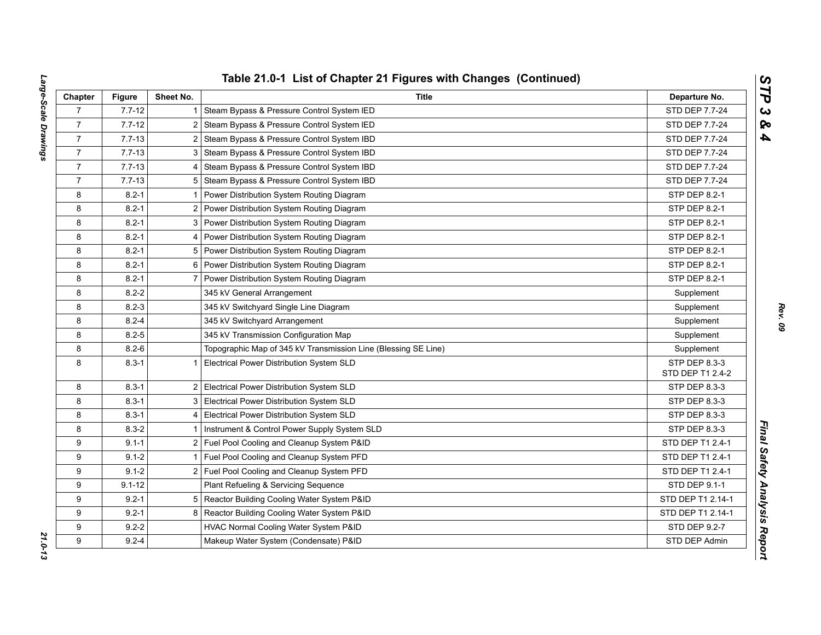| Chapter        | <b>Figure</b> | Sheet No.      | <b>Title</b>                                                   | Departure No.                     |
|----------------|---------------|----------------|----------------------------------------------------------------|-----------------------------------|
| $\overline{7}$ | $7.7 - 12$    | 1.             | Steam Bypass & Pressure Control System IED                     | STD DEP 7.7-24                    |
| $\overline{7}$ | $7.7 - 12$    | $\overline{2}$ | Steam Bypass & Pressure Control System IED                     | STD DEP 7.7-24                    |
| $\overline{7}$ | $7.7 - 13$    | 2 <sub>1</sub> | Steam Bypass & Pressure Control System IBD                     | STD DEP 7.7-24                    |
| $\overline{7}$ | $7.7 - 13$    | 3              | Steam Bypass & Pressure Control System IBD                     | STD DEP 7.7-24                    |
| $\overline{7}$ | $7.7 - 13$    |                | 4 Steam Bypass & Pressure Control System IBD                   | STD DEP 7.7-24                    |
| $\overline{7}$ | $7.7 - 13$    |                | 5 Steam Bypass & Pressure Control System IBD                   | STD DEP 7.7-24                    |
| 8              | $8.2 - 1$     |                | Power Distribution System Routing Diagram                      | STP DEP 8.2-1                     |
| 8              | $8.2 - 1$     | $\overline{2}$ | Power Distribution System Routing Diagram                      | STP DEP 8.2-1                     |
| 8              | $8.2 - 1$     | 3              | Power Distribution System Routing Diagram                      | STP DEP 8.2-1                     |
| 8              | $8.2 - 1$     | 4              | Power Distribution System Routing Diagram                      | STP DEP 8.2-1                     |
| 8              | $8.2 - 1$     |                | 5 Power Distribution System Routing Diagram                    | STP DEP 8.2-1                     |
| 8              | $8.2 - 1$     |                | 6 Power Distribution System Routing Diagram                    | STP DEP 8.2-1                     |
| 8              | $8.2 - 1$     | $\overline{7}$ | Power Distribution System Routing Diagram                      | STP DEP 8.2-1                     |
| 8              | $8.2 - 2$     |                | 345 kV General Arrangement                                     | Supplement                        |
| 8              | $8.2 - 3$     |                | 345 kV Switchyard Single Line Diagram                          | Supplement                        |
| 8              | $8.2 - 4$     |                | 345 kV Switchyard Arrangement                                  | Supplement                        |
| 8              | $8.2 - 5$     |                | 345 kV Transmission Configuration Map                          | Supplement                        |
| 8              | $8.2 - 6$     |                | Topographic Map of 345 kV Transmission Line (Blessing SE Line) | Supplement                        |
| 8              | $8.3 - 1$     | $\mathbf{1}$   | Electrical Power Distribution System SLD                       | STP DEP 8.3-3<br>STD DEP T1 2.4-2 |
| 8              | $8.3 - 1$     |                | 2 Electrical Power Distribution System SLD                     | STP DEP 8.3-3                     |
| 8              | $8.3 - 1$     |                | 3 Electrical Power Distribution System SLD                     | STP DEP 8.3-3                     |
| 8              | $8.3 - 1$     |                | 4 Electrical Power Distribution System SLD                     | STP DEP 8.3-3                     |
| 8              | $8.3 - 2$     |                | Instrument & Control Power Supply System SLD                   | STP DEP 8.3-3                     |
| 9              | $9.1 - 1$     |                | 2 Fuel Pool Cooling and Cleanup System P&ID                    | STD DEP T1 2.4-1                  |
| 9              | $9.1 - 2$     |                | Fuel Pool Cooling and Cleanup System PFD                       | STD DEP T1 2.4-1                  |
| 9              | $9.1 - 2$     |                | 2 Fuel Pool Cooling and Cleanup System PFD                     | STD DEP T1 2.4-1                  |
| 9              | $9.1 - 12$    |                | Plant Refueling & Servicing Sequence                           | STD DEP 9.1-1                     |
| 9              | $9.2 - 1$     |                | 5 Reactor Building Cooling Water System P&ID                   | STD DEP T1 2.14-1                 |
| 9              | $9.2 - 1$     | 8              | Reactor Building Cooling Water System P&ID                     | STD DEP T1 2.14-1                 |
| 9              | $9.2 - 2$     |                | HVAC Normal Cooling Water System P&ID                          | STD DEP 9.2-7                     |
| 9              | $9.2 - 4$     |                | Makeup Water System (Condensate) P&ID                          | STD DEP Admin                     |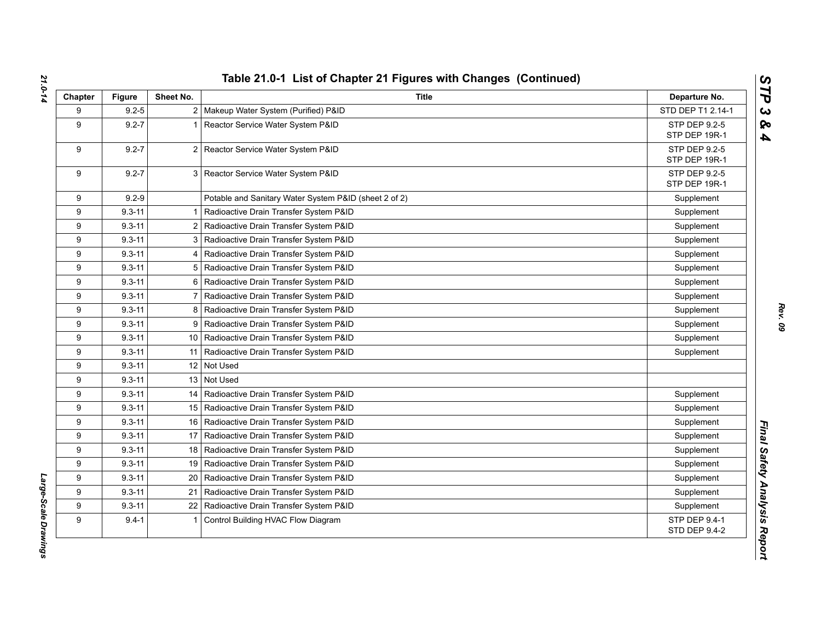| Chapter | <b>Figure</b> | Sheet No.      | <b>Title</b>                                          | Departure No.                         |
|---------|---------------|----------------|-------------------------------------------------------|---------------------------------------|
| 9       | $9.2 - 5$     |                | 2   Makeup Water System (Purified) P&ID               | STD DEP T1 2.14-1                     |
| 9       | $9.2 - 7$     |                | Reactor Service Water System P&ID                     | STP DEP 9.2-5<br>STP DEP 19R-1        |
| 9       | $9.2 - 7$     |                | 2 Reactor Service Water System P&ID                   | STP DEP 9.2-5<br>STP DEP 19R-1        |
| 9       | $9.2 - 7$     |                | 3 Reactor Service Water System P&ID                   | STP DEP 9.2-5<br>STP DEP 19R-1        |
| 9       | $9.2 - 9$     |                | Potable and Sanitary Water System P&ID (sheet 2 of 2) | Supplement                            |
| 9       | $9.3 - 11$    |                | Radioactive Drain Transfer System P&ID                | Supplement                            |
| 9       | $9.3 - 11$    |                | 2 Radioactive Drain Transfer System P&ID              | Supplement                            |
| 9       | $9.3 - 11$    |                | 3   Radioactive Drain Transfer System P&ID            | Supplement                            |
| 9       | $9.3 - 11$    |                | 4   Radioactive Drain Transfer System P&ID            | Supplement                            |
| 9       | $9.3 - 11$    |                | 5 Radioactive Drain Transfer System P&ID              | Supplement                            |
| 9       | $9.3 - 11$    | 6              | Radioactive Drain Transfer System P&ID                | Supplement                            |
| 9       | $9.3 - 11$    | $\overline{7}$ | Radioactive Drain Transfer System P&ID                | Supplement                            |
| 9       | $9.3 - 11$    |                | 8 Radioactive Drain Transfer System P&ID              | Supplement                            |
| 9       | $9.3 - 11$    |                | 9   Radioactive Drain Transfer System P&ID            | Supplement                            |
| 9       | $9.3 - 11$    |                | 10   Radioactive Drain Transfer System P&ID           | Supplement                            |
| 9       | $9.3 - 11$    |                | 11   Radioactive Drain Transfer System P&ID           | Supplement                            |
| 9       | $9.3 - 11$    |                | 12 Not Used                                           |                                       |
| 9       | $9.3 - 11$    |                | 13 Not Used                                           |                                       |
| 9       | $9.3 - 11$    |                | 14   Radioactive Drain Transfer System P&ID           | Supplement                            |
| 9       | $9.3 - 11$    |                | 15   Radioactive Drain Transfer System P&ID           | Supplement                            |
| 9       | $9.3 - 11$    |                | 16   Radioactive Drain Transfer System P&ID           | Supplement                            |
| 9       | $9.3 - 11$    |                | 17   Radioactive Drain Transfer System P&ID           | Supplement                            |
| 9       | $9.3 - 11$    |                | 18   Radioactive Drain Transfer System P&ID           | Supplement                            |
| 9       | $9.3 - 11$    |                | 19   Radioactive Drain Transfer System P&ID           | Supplement                            |
| 9       | $9.3 - 11$    | 20             | Radioactive Drain Transfer System P&ID                | Supplement                            |
| 9       | $9.3 - 11$    | 21             | Radioactive Drain Transfer System P&ID                | Supplement                            |
| 9       | $9.3 - 11$    | 22             | Radioactive Drain Transfer System P&ID                | Supplement                            |
| 9       | $9.4 - 1$     |                | Control Building HVAC Flow Diagram                    | STP DEP 9.4-1<br><b>STD DEP 9.4-2</b> |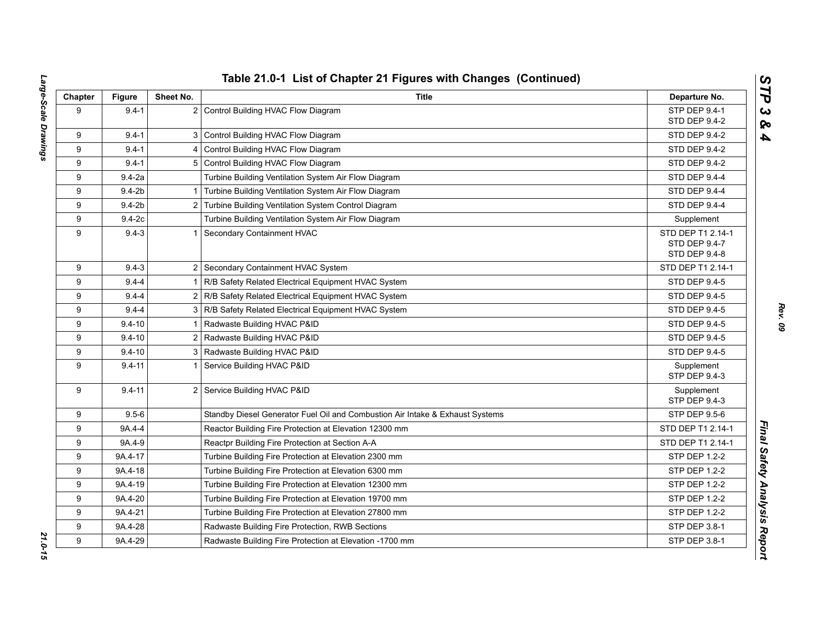| Chapter | <b>Figure</b> | Sheet No. | <b>Title</b>                                                                  | Departure No.                                       |
|---------|---------------|-----------|-------------------------------------------------------------------------------|-----------------------------------------------------|
| 9       | $9.4 - 1$     |           | 2 Control Building HVAC Flow Diagram                                          | STP DEP 9.4-1<br>STD DEP 9.4-2                      |
| 9       | $9.4 - 1$     |           | 3 Control Building HVAC Flow Diagram                                          | STD DEP 9.4-2                                       |
| 9       | $9.4 - 1$     |           | 4 Control Building HVAC Flow Diagram                                          | STD DEP 9.4-2                                       |
| 9       | $9.4 - 1$     |           | 5 Control Building HVAC Flow Diagram                                          | <b>STD DEP 9.4-2</b>                                |
| 9       | $9.4 - 2a$    |           | Turbine Building Ventilation System Air Flow Diagram                          | STD DEP 9.4-4                                       |
| 9       | $9.4 - 2b$    |           | 1 Turbine Building Ventilation System Air Flow Diagram                        | STD DEP 9.4-4                                       |
| 9       | $9.4-2b$      |           | 2 Turbine Building Ventilation System Control Diagram                         | <b>STD DEP 9.4-4</b>                                |
| 9       | $9.4-2c$      |           | Turbine Building Ventilation System Air Flow Diagram                          | Supplement                                          |
| 9       | $9.4 - 3$     |           | 1 Secondary Containment HVAC                                                  | STD DEP T1 2.14-1<br>STD DEP 9.4-7<br>STD DEP 9.4-8 |
| 9       | $9.4 - 3$     |           | 2 Secondary Containment HVAC System                                           | STD DEP T1 2.14-1                                   |
| 9       | $9.4 - 4$     |           | 1 R/B Safety Related Electrical Equipment HVAC System                         | <b>STD DEP 9.4-5</b>                                |
| 9       | $9.4 - 4$     |           | 2 R/B Safety Related Electrical Equipment HVAC System                         | STD DEP 9.4-5                                       |
| 9       | $9.4 - 4$     |           | 3 R/B Safety Related Electrical Equipment HVAC System                         | STD DEP 9.4-5                                       |
| 9       | $9.4 - 10$    |           | 1 Radwaste Building HVAC P&ID                                                 | STD DEP 9.4-5                                       |
| 9       | $9.4 - 10$    |           | 2 Radwaste Building HVAC P&ID                                                 | <b>STD DEP 9.4-5</b>                                |
| 9       | $9.4 - 10$    |           | 3   Radwaste Building HVAC P&ID                                               | STD DEP 9.4-5                                       |
| 9       | $9.4 - 11$    |           | Service Building HVAC P&ID                                                    | Supplement<br>STP DEP 9.4-3                         |
| 9       | $9.4 - 11$    |           | 2 Service Building HVAC P&ID                                                  | Supplement<br>STP DEP 9.4-3                         |
| 9       | $9.5 - 6$     |           | Standby Diesel Generator Fuel Oil and Combustion Air Intake & Exhaust Systems | <b>STP DEP 9.5-6</b>                                |
| 9       | 9A.4-4        |           | Reactor Building Fire Protection at Elevation 12300 mm                        | STD DEP T1 2.14-1                                   |
| 9       | 9A.4-9        |           | Reactpr Building Fire Protection at Section A-A                               | STD DEP T1 2.14-1                                   |
| 9       | 9A.4-17       |           | Turbine Building Fire Protection at Elevation 2300 mm                         | STP DEP 1.2-2                                       |
| 9       | 9A.4-18       |           | Turbine Building Fire Protection at Elevation 6300 mm                         | STP DEP 1.2-2                                       |
| 9       | 9A.4-19       |           | Turbine Building Fire Protection at Elevation 12300 mm                        | <b>STP DEP 1.2-2</b>                                |
| 9       | 9A.4-20       |           | Turbine Building Fire Protection at Elevation 19700 mm                        | STP DEP 1.2-2                                       |
| 9       | 9A.4-21       |           | Turbine Building Fire Protection at Elevation 27800 mm                        | STP DEP 1.2-2                                       |
| 9       | 9A.4-28       |           | Radwaste Building Fire Protection, RWB Sections                               | STP DEP 3.8-1                                       |
| 9       | 9A.4-29       |           | Radwaste Building Fire Protection at Elevation -1700 mm                       | STP DEP 3.8-1                                       |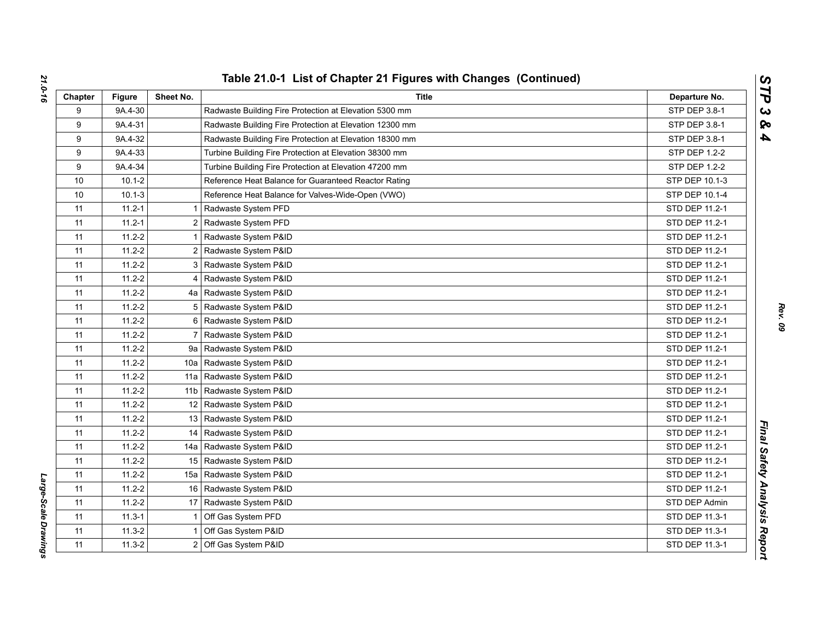| Chapter | <b>Figure</b> | Sheet No.       | Title                                                   | Departure No.  |
|---------|---------------|-----------------|---------------------------------------------------------|----------------|
| 9       | 9A.4-30       |                 | Radwaste Building Fire Protection at Elevation 5300 mm  | STP DEP 3.8-1  |
| 9       | 9A.4-31       |                 | Radwaste Building Fire Protection at Elevation 12300 mm | STP DEP 3.8-1  |
| 9       | 9A.4-32       |                 | Radwaste Building Fire Protection at Elevation 18300 mm | STP DEP 3.8-1  |
| 9       | 9A.4-33       |                 | Turbine Building Fire Protection at Elevation 38300 mm  | STP DEP 1.2-2  |
| 9       | 9A.4-34       |                 | Turbine Building Fire Protection at Elevation 47200 mm  | STP DEP 1.2-2  |
| 10      | $10.1 - 2$    |                 | Reference Heat Balance for Guaranteed Reactor Rating    | STP DEP 10.1-3 |
| 10      | $10.1 - 3$    |                 | Reference Heat Balance for Valves-Wide-Open (VWO)       | STP DEP 10.1-4 |
| 11      | $11.2 - 1$    |                 | Radwaste System PFD                                     | STD DEP 11.2-1 |
| 11      | $11.2 - 1$    | 2               | Radwaste System PFD                                     | STD DEP 11.2-1 |
| 11      | $11.2 - 2$    |                 | Radwaste System P&ID                                    | STD DEP 11.2-1 |
| 11      | $11.2 - 2$    | 2               | Radwaste System P&ID                                    | STD DEP 11.2-1 |
| 11      | $11.2 - 2$    | 3               | Radwaste System P&ID                                    | STD DEP 11.2-1 |
| 11      | $11.2 - 2$    | 4               | Radwaste System P&ID                                    | STD DEP 11.2-1 |
| 11      | $11.2 - 2$    |                 | 4a   Radwaste System P&ID                               | STD DEP 11.2-1 |
| 11      | $11.2 - 2$    | 5               | Radwaste System P&ID                                    | STD DEP 11.2-1 |
| 11      | $11.2 - 2$    | 6               | Radwaste System P&ID                                    | STD DEP 11.2-1 |
| 11      | $11.2 - 2$    | $\overline{7}$  | Radwaste System P&ID                                    | STD DEP 11.2-1 |
| 11      | $11.2 - 2$    | 9а              | Radwaste System P&ID                                    | STD DEP 11.2-1 |
| 11      | $11.2 - 2$    | 10a             | Radwaste System P&ID                                    | STD DEP 11.2-1 |
| 11      | $11.2 - 2$    | 11a             | Radwaste System P&ID                                    | STD DEP 11.2-1 |
| 11      | $11.2 - 2$    | 11 <sub>b</sub> | Radwaste System P&ID                                    | STD DEP 11.2-1 |
| 11      | $11.2 - 2$    | 12              | Radwaste System P&ID                                    | STD DEP 11.2-1 |
| 11      | $11.2 - 2$    |                 | 13 Radwaste System P&ID                                 | STD DEP 11.2-1 |
| 11      | $11.2 - 2$    | 14              | Radwaste System P&ID                                    | STD DEP 11.2-1 |
| 11      | $11.2 - 2$    | 14a             | Radwaste System P&ID                                    | STD DEP 11.2-1 |
| 11      | $11.2 - 2$    |                 | 15 Radwaste System P&ID                                 | STD DEP 11.2-1 |
| 11      | $11.2 - 2$    | 15a             | Radwaste System P&ID                                    | STD DEP 11.2-1 |
| 11      | $11.2 - 2$    |                 | 16 Radwaste System P&ID                                 | STD DEP 11.2-1 |
| 11      | $11.2 - 2$    | 17              | Radwaste System P&ID                                    | STD DEP Admin  |
| 11      | $11.3 - 1$    |                 | Off Gas System PFD                                      | STD DEP 11.3-1 |
| 11      | $11.3 - 2$    |                 | Off Gas System P&ID                                     | STD DEP 11.3-1 |
| 11      | $11.3 - 2$    | $\overline{2}$  | Off Gas System P&ID                                     | STD DEP 11.3-1 |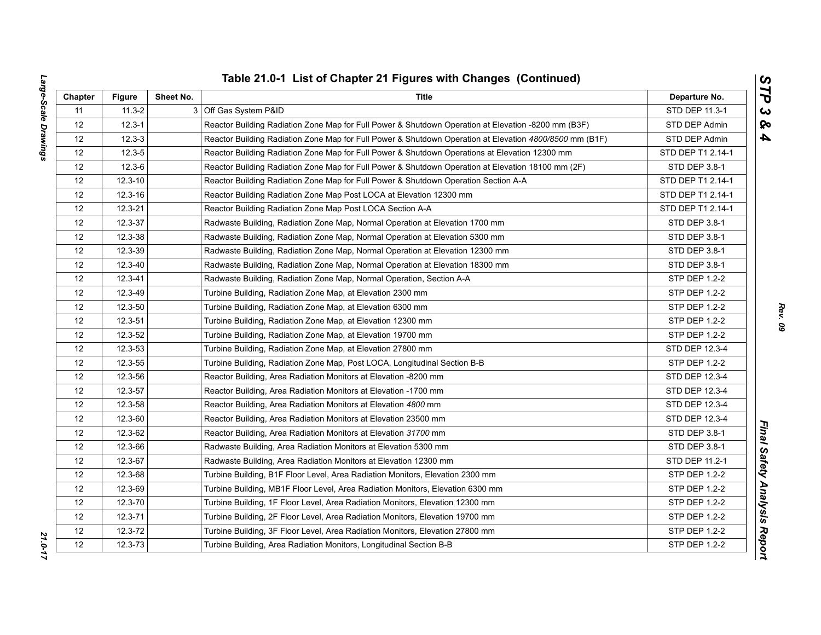| ì<br>l | ļ<br>ĺ<br>$\overline{1}$<br>J<br>֚֘֝֬<br>į<br>i     |
|--------|-----------------------------------------------------|
|        |                                                     |
|        |                                                     |
|        |                                                     |
|        |                                                     |
|        |                                                     |
|        |                                                     |
|        |                                                     |
|        |                                                     |
|        | <b>E</b><br>l<br>١<br>$\overline{\phantom{a}}$<br>י |

| Chapter           | <b>Figure</b>                                                          | Sheet No. | Title                                                                                                   | Departure No.        |
|-------------------|------------------------------------------------------------------------|-----------|---------------------------------------------------------------------------------------------------------|----------------------|
| 11                | $11.3 - 2$                                                             |           | 3 Off Gas System P&ID                                                                                   | STD DEP 11.3-1       |
| 12                | $12.3 - 1$                                                             |           | Reactor Building Radiation Zone Map for Full Power & Shutdown Operation at Elevation -8200 mm (B3F)     | STD DEP Admin        |
| 12                | $12.3 - 3$                                                             |           | Reactor Building Radiation Zone Map for Full Power & Shutdown Operation at Elevation 4800/8500 mm (B1F) | STD DEP Admin        |
| 12                | $12.3 - 5$                                                             |           | Reactor Building Radiation Zone Map for Full Power & Shutdown Operations at Elevation 12300 mm          | STD DEP T1 2.14-1    |
| 12                | $12.3 - 6$                                                             |           | Reactor Building Radiation Zone Map for Full Power & Shutdown Operation at Elevation 18100 mm (2F)      | STD DEP 3.8-1        |
| 12                | $12.3 - 10$                                                            |           | Reactor Building Radiation Zone Map for Full Power & Shutdown Operation Section A-A                     | STD DEP T1 2.14-1    |
| 12                | $12.3 - 16$                                                            |           | Reactor Building Radiation Zone Map Post LOCA at Elevation 12300 mm                                     | STD DEP T1 2.14-1    |
| 12                | $12.3 - 21$                                                            |           | Reactor Building Radiation Zone Map Post LOCA Section A-A                                               | STD DEP T1 2.14-1    |
| 12                | 12.3-37                                                                |           | Radwaste Building, Radiation Zone Map, Normal Operation at Elevation 1700 mm                            | STD DEP 3.8-1        |
| 12                | 12.3-38                                                                |           | Radwaste Building, Radiation Zone Map, Normal Operation at Elevation 5300 mm                            | STD DEP 3.8-1        |
| 12                | 12.3-39                                                                |           | Radwaste Building, Radiation Zone Map, Normal Operation at Elevation 12300 mm                           | STD DEP 3.8-1        |
| 12                | 12.3-40                                                                |           | Radwaste Building, Radiation Zone Map, Normal Operation at Elevation 18300 mm                           | STD DEP 3.8-1        |
| 12                | 12.3-41                                                                |           | Radwaste Building, Radiation Zone Map, Normal Operation, Section A-A                                    | STP DEP 1.2-2        |
| $12 \overline{ }$ | 12.3-49                                                                |           | Turbine Building, Radiation Zone Map, at Elevation 2300 mm                                              | <b>STP DEP 1.2-2</b> |
| 12                | 12.3-50<br>Turbine Building, Radiation Zone Map, at Elevation 6300 mm  |           | <b>STP DEP 1.2-2</b>                                                                                    |                      |
| 12                | 12.3-51                                                                |           | Turbine Building, Radiation Zone Map, at Elevation 12300 mm                                             | STP DEP 1.2-2        |
| 12                | 12.3-52                                                                |           | Turbine Building, Radiation Zone Map, at Elevation 19700 mm                                             | STP DEP 1.2-2        |
| 12                | 12.3-53<br>Turbine Building, Radiation Zone Map, at Elevation 27800 mm |           | STD DEP 12.3-4                                                                                          |                      |
| 12                | 12.3-55                                                                |           | Turbine Building, Radiation Zone Map, Post LOCA, Longitudinal Section B-B                               | STP DEP 1.2-2        |
| 12                | 12.3-56                                                                |           | Reactor Building, Area Radiation Monitors at Elevation -8200 mm                                         | STD DEP 12.3-4       |
| 12                | 12.3-57                                                                |           | Reactor Building, Area Radiation Monitors at Elevation -1700 mm                                         | STD DEP 12.3-4       |
| 12                | 12.3-58                                                                |           | Reactor Building, Area Radiation Monitors at Elevation 4800 mm                                          | STD DEP 12.3-4       |
| $12 \overline{ }$ | 12.3-60                                                                |           | Reactor Building, Area Radiation Monitors at Elevation 23500 mm                                         | STD DEP 12.3-4       |
| 12                | 12.3-62                                                                |           | Reactor Building, Area Radiation Monitors at Elevation 31700 mm                                         | STD DEP 3.8-1        |
| 12                | 12.3-66                                                                |           | Radwaste Building, Area Radiation Monitors at Elevation 5300 mm                                         | STD DEP 3.8-1        |
| 12                | 12.3-67                                                                |           | Radwaste Building, Area Radiation Monitors at Elevation 12300 mm                                        | STD DEP 11.2-1       |
| 12                | 12.3-68                                                                |           | Turbine Building, B1F Floor Level, Area Radiation Monitors, Elevation 2300 mm                           | STP DEP 1.2-2        |
| 12                | 12.3-69                                                                |           | Turbine Building, MB1F Floor Level, Area Radiation Monitors, Elevation 6300 mm                          | STP DEP 1.2-2        |
| 12                | 12.3-70                                                                |           | Turbine Building, 1F Floor Level, Area Radiation Monitors, Elevation 12300 mm                           | STP DEP 1.2-2        |
| 12                | $12.3 - 71$                                                            |           | Turbine Building, 2F Floor Level, Area Radiation Monitors, Elevation 19700 mm                           | <b>STP DEP 1.2-2</b> |
| 12                | 12.3-72                                                                |           | Turbine Building, 3F Floor Level, Area Radiation Monitors, Elevation 27800 mm                           | STP DEP 1.2-2        |
| 12                | 12.3-73                                                                |           | Turbine Building, Area Radiation Monitors, Longitudinal Section B-B                                     | <b>STP DEP 1.2-2</b> |

*Rev. 09*

*STP 3 & 4*